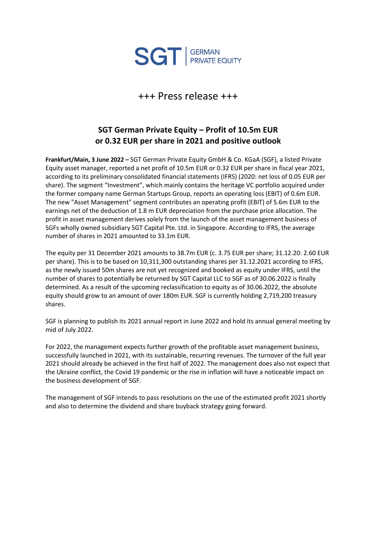

+++ Press release +++

## **SGT German Private Equity – Profit of 10.5m EUR or 0.32 EUR per share in 2021 and positive outlook**

**Frankfurt/Main, 3 June 2022 –** SGT German Private Equity GmbH & Co. KGaA (SGF), a listed Private Equity asset manager, reported a net profit of 10.5m EUR or 0.32 EUR per share in fiscal year 2021, according to its preliminary consolidated financial statements (IFRS) (2020: net loss of 0.05 EUR per share). The segment "Investment", which mainly contains the heritage VC portfolio acquired under the former company name German Startups Group, reports an operating loss (EBIT) of 0.6m EUR. The new "Asset Management" segment contributes an operating profit (EBIT) of 5.6m EUR to the earnings net of the deduction of 1.8 m EUR depreciation from the purchase price allocation. The profit in asset management derives solely from the launch of the asset management business of SGFs wholly owned subsidiary SGT Capital Pte. Ltd. in Singapore. According to IFRS, the average number of shares in 2021 amounted to 33.1m EUR.

The equity per 31 December 2021 amounts to 38.7m EUR (c. 3.75 EUR per share; 31.12.20: 2.60 EUR per share). This is to be based on 10,311,300 outstanding shares per 31.12.2021 according to IFRS, as the newly issued 50m shares are not yet recognized and booked as equity under IFRS, until the number of shares to potentially be returned by SGT Capital LLC to SGF as of 30.06.2022 is finally determined. As a result of the upcoming reclassification to equity as of 30.06.2022, the absolute equity should grow to an amount of over 180m EUR. SGF is currently holding 2,719,200 treasury shares.

SGF is planning to publish its 2021 annual report in June 2022 and hold its annual general meeting by mid of July 2022.

For 2022, the management expects further growth of the profitable asset management business, successfully launched in 2021, with its sustainable, recurring revenues. The turnover of the full year 2021 should already be achieved in the first half of 2022. The management does also not expect that the Ukraine conflict, the Covid 19 pandemic or the rise in inflation will have a noticeable impact on the business development of SGF.

The management of SGF intends to pass resolutions on the use of the estimated profit 2021 shortly and also to determine the dividend and share buyback strategy going forward.